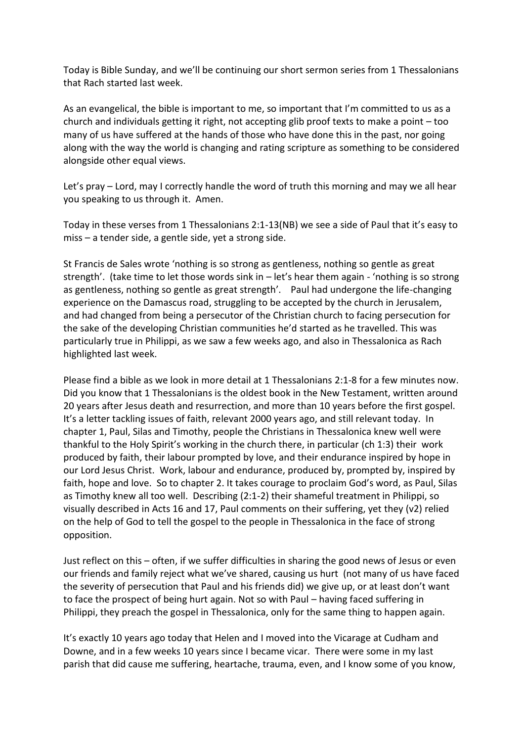Today is Bible Sunday, and we'll be continuing our short sermon series from 1 Thessalonians that Rach started last week.

As an evangelical, the bible is important to me, so important that I'm committed to us as a church and individuals getting it right, not accepting glib proof texts to make a point – too many of us have suffered at the hands of those who have done this in the past, nor going along with the way the world is changing and rating scripture as something to be considered alongside other equal views.

Let's pray – Lord, may I correctly handle the word of truth this morning and may we all hear you speaking to us through it. Amen.

Today in these verses from 1 Thessalonians 2:1-13(NB) we see a side of Paul that it's easy to miss – a tender side, a gentle side, yet a strong side.

St Francis de Sales wrote 'nothing is so strong as gentleness, nothing so gentle as great strength'. (take time to let those words sink in – let's hear them again - 'nothing is so strong as gentleness, nothing so gentle as great strength'. Paul had undergone the life-changing experience on the Damascus road, struggling to be accepted by the church in Jerusalem, and had changed from being a persecutor of the Christian church to facing persecution for the sake of the developing Christian communities he'd started as he travelled. This was particularly true in Philippi, as we saw a few weeks ago, and also in Thessalonica as Rach highlighted last week.

Please find a bible as we look in more detail at 1 Thessalonians 2:1-8 for a few minutes now. Did you know that 1 Thessalonians is the oldest book in the New Testament, written around 20 years after Jesus death and resurrection, and more than 10 years before the first gospel. It's a letter tackling issues of faith, relevant 2000 years ago, and still relevant today. In chapter 1, Paul, Silas and Timothy, people the Christians in Thessalonica knew well were thankful to the Holy Spirit's working in the church there, in particular (ch 1:3) their work produced by faith, their labour prompted by love, and their endurance inspired by hope in our Lord Jesus Christ. Work, labour and endurance, produced by, prompted by, inspired by faith, hope and love. So to chapter 2. It takes courage to proclaim God's word, as Paul, Silas as Timothy knew all too well. Describing (2:1-2) their shameful treatment in Philippi, so visually described in Acts 16 and 17, Paul comments on their suffering, yet they (v2) relied on the help of God to tell the gospel to the people in Thessalonica in the face of strong opposition.

Just reflect on this – often, if we suffer difficulties in sharing the good news of Jesus or even our friends and family reject what we've shared, causing us hurt (not many of us have faced the severity of persecution that Paul and his friends did) we give up, or at least don't want to face the prospect of being hurt again. Not so with Paul – having faced suffering in Philippi, they preach the gospel in Thessalonica, only for the same thing to happen again.

It's exactly 10 years ago today that Helen and I moved into the Vicarage at Cudham and Downe, and in a few weeks 10 years since I became vicar. There were some in my last parish that did cause me suffering, heartache, trauma, even, and I know some of you know,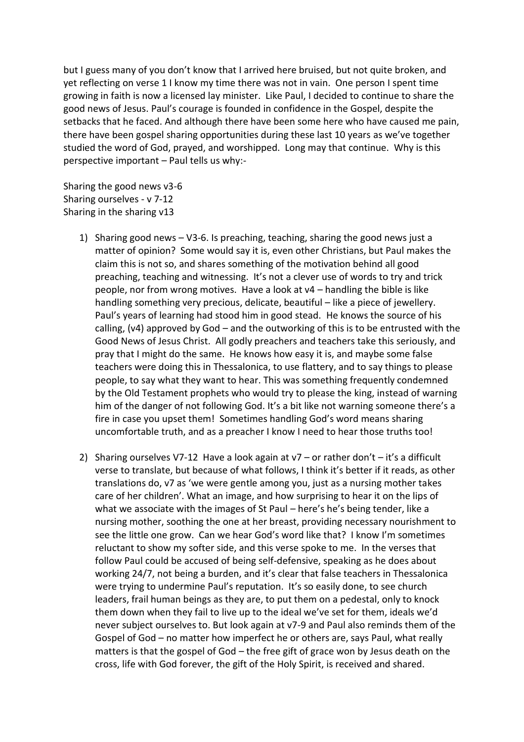but I guess many of you don't know that I arrived here bruised, but not quite broken, and yet reflecting on verse 1 I know my time there was not in vain. One person I spent time growing in faith is now a licensed lay minister. Like Paul, I decided to continue to share the good news of Jesus. Paul's courage is founded in confidence in the Gospel, despite the setbacks that he faced. And although there have been some here who have caused me pain, there have been gospel sharing opportunities during these last 10 years as we've together studied the word of God, prayed, and worshipped. Long may that continue. Why is this perspective important – Paul tells us why:-

Sharing the good news v3-6 Sharing ourselves - v 7-12 Sharing in the sharing v13

- 1) Sharing good news V3-6. Is preaching, teaching, sharing the good news just a matter of opinion? Some would say it is, even other Christians, but Paul makes the claim this is not so, and shares something of the motivation behind all good preaching, teaching and witnessing. It's not a clever use of words to try and trick people, nor from wrong motives. Have a look at v4 – handling the bible is like handling something very precious, delicate, beautiful – like a piece of jewellery. Paul's years of learning had stood him in good stead. He knows the source of his calling, (v4) approved by God – and the outworking of this is to be entrusted with the Good News of Jesus Christ. All godly preachers and teachers take this seriously, and pray that I might do the same. He knows how easy it is, and maybe some false teachers were doing this in Thessalonica, to use flattery, and to say things to please people, to say what they want to hear. This was something frequently condemned by the Old Testament prophets who would try to please the king, instead of warning him of the danger of not following God. It's a bit like not warning someone there's a fire in case you upset them! Sometimes handling God's word means sharing uncomfortable truth, and as a preacher I know I need to hear those truths too!
- 2) Sharing ourselves V7-12 Have a look again at  $v7 or$  rather don't  $-$  it's a difficult verse to translate, but because of what follows, I think it's better if it reads, as other translations do, v7 as 'we were gentle among you, just as a nursing mother takes care of her children'. What an image, and how surprising to hear it on the lips of what we associate with the images of St Paul – here's he's being tender, like a nursing mother, soothing the one at her breast, providing necessary nourishment to see the little one grow. Can we hear God's word like that? I know I'm sometimes reluctant to show my softer side, and this verse spoke to me. In the verses that follow Paul could be accused of being self-defensive, speaking as he does about working 24/7, not being a burden, and it's clear that false teachers in Thessalonica were trying to undermine Paul's reputation. It's so easily done, to see church leaders, frail human beings as they are, to put them on a pedestal, only to knock them down when they fail to live up to the ideal we've set for them, ideals we'd never subject ourselves to. But look again at v7-9 and Paul also reminds them of the Gospel of God – no matter how imperfect he or others are, says Paul, what really matters is that the gospel of God – the free gift of grace won by Jesus death on the cross, life with God forever, the gift of the Holy Spirit, is received and shared.